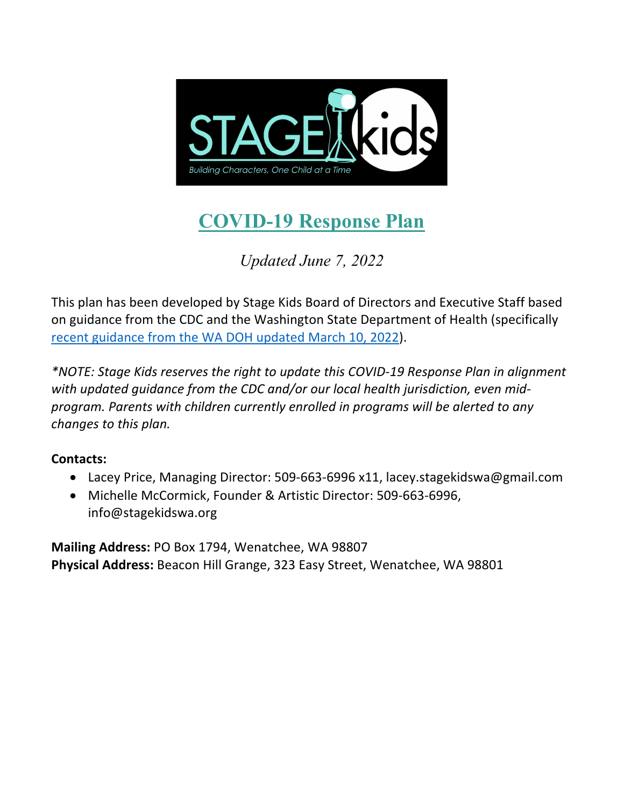

# **COVID-19 Response Plan**

*Updated June 7, 2022*

This plan has been developed by Stage Kids Board of Directors and Executive Staff based on guidance from the CDC and the Washington State Department of Health (specifically recent guidance from the WA DOH updated March 10, 2022).

*\*NOTE: Stage Kids reserves the right to update this COVID-19 Response Plan in alignment with updated guidance from the CDC and/or our local health jurisdiction, even midprogram. Parents with children currently enrolled in programs will be alerted to any changes to this plan.*

# **Contacts:**

- Lacey Price, Managing Director: 509-663-6996 x11, lacey.stagekidswa@gmail.com
- Michelle McCormick, Founder & Artistic Director: 509-663-6996, info@stagekidswa.org

**Mailing Address:** PO Box 1794, Wenatchee, WA 98807 **Physical Address:** Beacon Hill Grange, 323 Easy Street, Wenatchee, WA 98801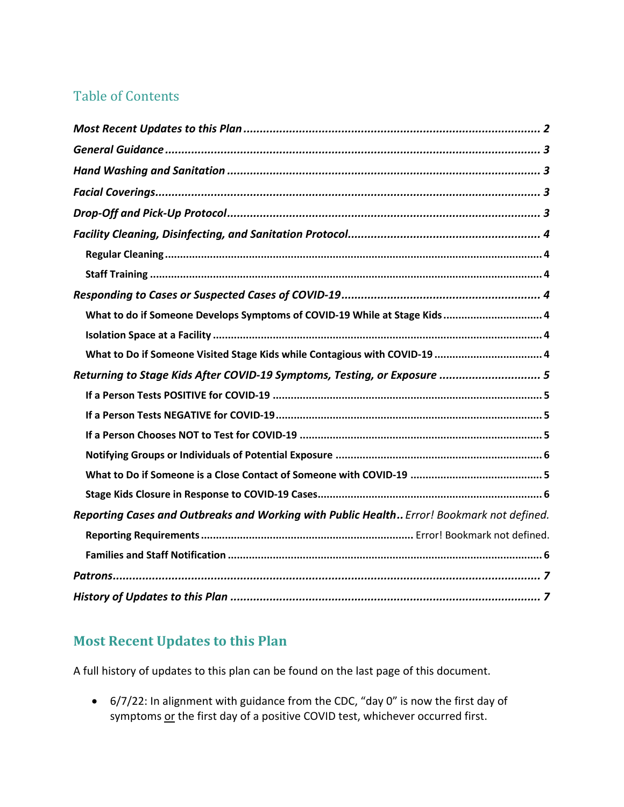# Table of Contents

| What to do if Someone Develops Symptoms of COVID-19 While at Stage Kids 4                 |
|-------------------------------------------------------------------------------------------|
|                                                                                           |
| What to Do if Someone Visited Stage Kids while Contagious with COVID-19  4                |
| Returning to Stage Kids After COVID-19 Symptoms, Testing, or Exposure  5                  |
|                                                                                           |
|                                                                                           |
|                                                                                           |
|                                                                                           |
|                                                                                           |
|                                                                                           |
| Reporting Cases and Outbreaks and Working with Public Health Error! Bookmark not defined. |
|                                                                                           |
|                                                                                           |
|                                                                                           |
|                                                                                           |

# **Most Recent Updates to this Plan**

A full history of updates to this plan can be found on the last page of this document.

• 6/7/22: In alignment with guidance from the CDC, "day 0" is now the first day of symptoms or the first day of a positive COVID test, whichever occurred first.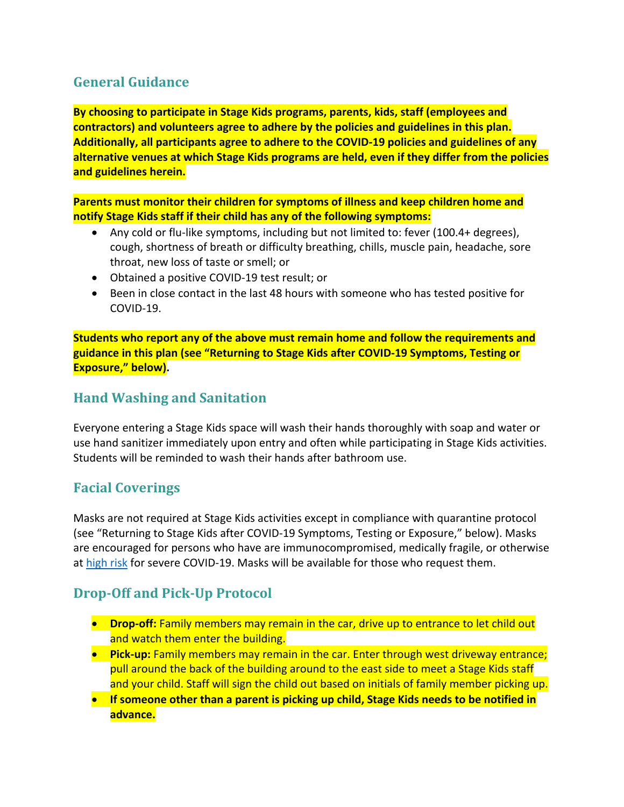# **General Guidance**

**By choosing to participate in Stage Kids programs, parents, kids, staff (employees and contractors) and volunteers agree to adhere by the policies and guidelines in this plan. Additionally, all participants agree to adhere to the COVID-19 policies and guidelines of any alternative venues at which Stage Kids programs are held, even if they differ from the policies and guidelines herein.**

**Parents must monitor their children for symptoms of illness and keep children home and notify Stage Kids staff if their child has any of the following symptoms:**

- Any cold or flu-like symptoms, including but not limited to: fever (100.4+ degrees), cough, shortness of breath or difficulty breathing, chills, muscle pain, headache, sore throat, new loss of taste or smell; or
- Obtained a positive COVID-19 test result; or
- Been in close contact in the last 48 hours with someone who has tested positive for COVID-19.

**Students who report any of the above must remain home and follow the requirements and guidance in this plan (see "Returning to Stage Kids after COVID-19 Symptoms, Testing or Exposure," below).**

### **Hand Washing and Sanitation**

Everyone entering a Stage Kids space will wash their hands thoroughly with soap and water or use hand sanitizer immediately upon entry and often while participating in Stage Kids activities. Students will be reminded to wash their hands after bathroom use.

### **Facial Coverings**

Masks are not required at Stage Kids activities except in compliance with quarantine protocol (see "Returning to Stage Kids after COVID-19 Symptoms, Testing or Exposure," below). Masks are encouraged for persons who have are immunocompromised, medically fragile, or otherwise at high risk for severe COVID-19. Masks will be available for those who request them.

# **Drop-Off and Pick-Up Protocol**

- **Drop-off:** Family members may remain in the car, drive up to entrance to let child out and watch them enter the building.
- **Pick-up:** Family members may remain in the car. Enter through west driveway entrance; pull around the back of the building around to the east side to meet a Stage Kids staff and your child. Staff will sign the child out based on initials of family member picking up.
- **If someone other than a parent is picking up child, Stage Kids needs to be notified in advance.**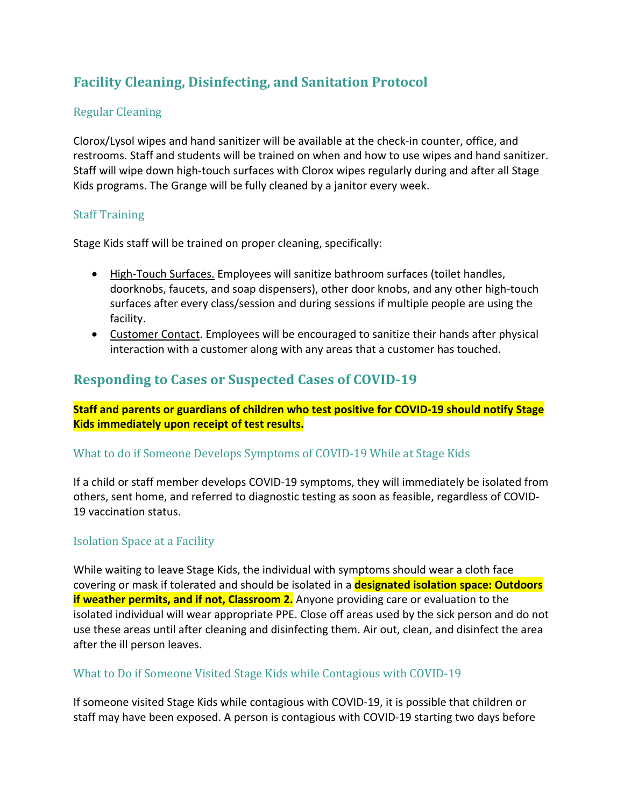# **Facility Cleaning, Disinfecting, and Sanitation Protocol**

#### Regular Cleaning

Clorox/Lysol wipes and hand sanitizer will be available at the check-in counter, office, and restrooms. Staff and students will be trained on when and how to use wipes and hand sanitizer. Staff will wipe down high-touch surfaces with Clorox wipes regularly during and after all Stage Kids programs. The Grange will be fully cleaned by a janitor every week.

#### **Staff Training**

Stage Kids staff will be trained on proper cleaning, specifically:

- High-Touch Surfaces. Employees will sanitize bathroom surfaces (toilet handles, doorknobs, faucets, and soap dispensers), other door knobs, and any other high-touch surfaces after every class/session and during sessions if multiple people are using the facility.
- Customer Contact. Employees will be encouraged to sanitize their hands after physical interaction with a customer along with any areas that a customer has touched.

## **Responding to Cases or Suspected Cases of COVID-19**

**Staff and parents or guardians of children who test positive for COVID-19 should notify Stage Kids immediately upon receipt of test results.**

#### What to do if Someone Develops Symptoms of COVID-19 While at Stage Kids

If a child or staff member develops COVID-19 symptoms, they will immediately be isolated from others, sent home, and referred to diagnostic testing as soon as feasible, regardless of COVID-19 vaccination status.

#### **Isolation Space at a Facility**

While waiting to leave Stage Kids, the individual with symptoms should wear a cloth face covering or mask if tolerated and should be isolated in a **designated isolation space: Outdoors if weather permits, and if not, Classroom 2.** Anyone providing care or evaluation to the isolated individual will wear appropriate PPE. Close off areas used by the sick person and do not use these areas until after cleaning and disinfecting them. Air out, clean, and disinfect the area after the ill person leaves.

#### What to Do if Someone Visited Stage Kids while Contagious with COVID-19

If someone visited Stage Kids while contagious with COVID-19, it is possible that children or staff may have been exposed. A person is contagious with COVID-19 starting two days before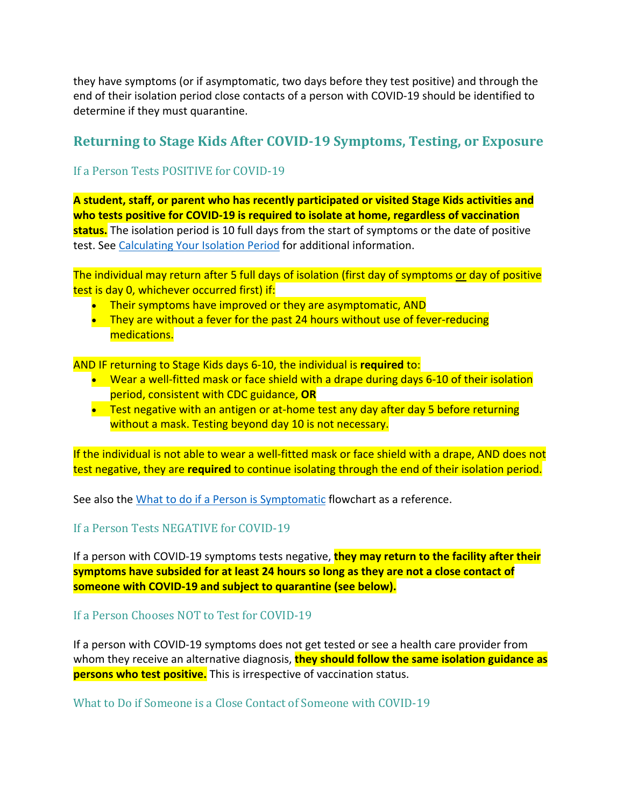they have symptoms (or if asymptomatic, two days before they test positive) and through the end of their isolation period close contacts of a person with COVID-19 should be identified to determine if they must quarantine.

### **Returning to Stage Kids After COVID-19 Symptoms, Testing, or Exposure**

#### If a Person Tests POSITIVE for COVID-19

**A student, staff, or parent who has recently participated or visited Stage Kids activities and who tests positive for COVID-19 is required to isolate at home, regardless of vaccination status.** The isolation period is 10 full days from the start of symptoms or the date of positive test. See Calculating Your Isolation Period for additional information.

The individual may return after 5 full days of isolation (first day of symptoms or day of positive test is day 0, whichever occurred first) if:

- Their symptoms have improved or they are asymptomatic, AND
- They are without a fever for the past 24 hours without use of fever-reducing medications.

AND IF returning to Stage Kids days 6-10, the individual is **required** to:

- Wear a well-fitted mask or face shield with a drape during days 6-10 of their isolation period, consistent with CDC guidance, **OR**
- Test negative with an antigen or at-home test any day after day 5 before returning without a mask. Testing beyond day 10 is not necessary.

If the individual is not able to wear a well-fitted mask or face shield with a drape, AND does not test negative, they are **required** to continue isolating through the end of their isolation period.

See also the What to do if a Person is Symptomatic flowchart as a reference.

#### If a Person Tests NEGATIVE for COVID-19

If a person with COVID-19 symptoms tests negative, **they may return to the facility after their symptoms have subsided for at least 24 hours so long as they are not a close contact of someone with COVID-19 and subject to quarantine (see below).**

#### If a Person Chooses NOT to Test for COVID-19

If a person with COVID-19 symptoms does not get tested or see a health care provider from whom they receive an alternative diagnosis, **they should follow the same isolation guidance as persons who test positive.** This is irrespective of vaccination status.

What to Do if Someone is a Close Contact of Someone with COVID-19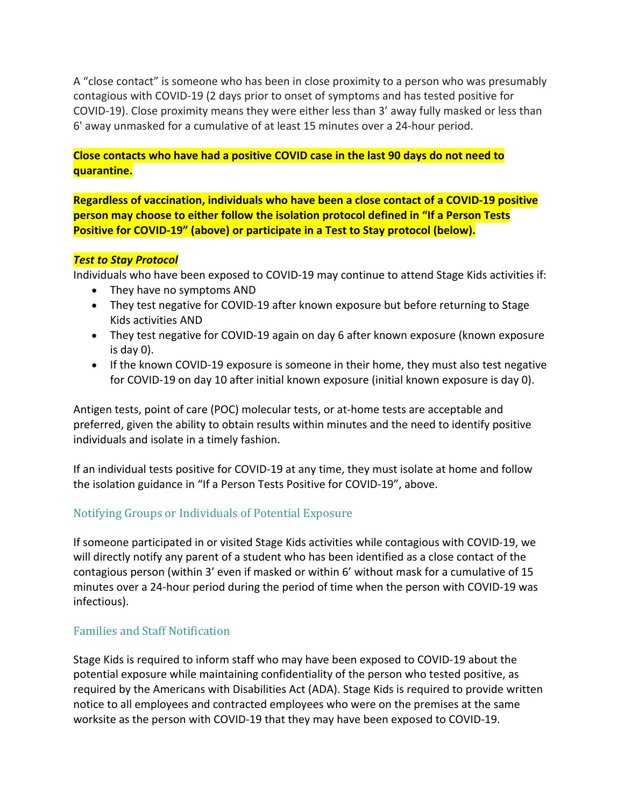A "close contact" is someone who has been in close proximity to a person who was presumably contagious with COVID-19 (2 days prior to onset of symptoms and has tested positive for COVID-19). Close proximity means they were either less than 3' away fully masked or less than 6' away unmasked for a cumulative of at least 15 minutes over a 24-hour period.

#### **Close contacts who have had a positive COVID case in the last 90 days do not need to quarantine.**

**Regardless of vaccination, individuals who have been a close contact of a COVID-19 positive person may choose to either follow the isolation protocol defined in "If a Person Tests Positive for COVID-19" (above) or participate in a Test to Stay protocol (below).**

#### *Test to Stay Protocol*

Individuals who have been exposed to COVID-19 may continue to attend Stage Kids activities if:

- They have no symptoms AND
- They test negative for COVID-19 after known exposure but before returning to Stage Kids activities AND
- They test negative for COVID-19 again on day 6 after known exposure (known exposure is day 0).
- If the known COVID-19 exposure is someone in their home, they must also test negative for COVID-19 on day 10 after initial known exposure (initial known exposure is day 0).

Antigen tests, point of care (POC) molecular tests, or at-home tests are acceptable and preferred, given the ability to obtain results within minutes and the need to identify positive individuals and isolate in a timely fashion.

If an individual tests positive for COVID-19 at any time, they must isolate at home and follow the isolation guidance in "If a Person Tests Positive for COVID-19", above.

#### Notifying Groups or Individuals of Potential Exposure

If someone participated in or visited Stage Kids activities while contagious with COVID-19, we will directly notify any parent of a student who has been identified as a close contact of the contagious person (within 3' even if masked or within 6' without mask for a cumulative of 15 minutes over a 24-hour period during the period of time when the person with COVID-19 was infectious).

#### Families and Staff Notification

Stage Kids is required to inform staff who may have been exposed to COVID-19 about the potential exposure while maintaining confidentiality of the person who tested positive, as required by the Americans with Disabilities Act (ADA). Stage Kids is required to provide written notice to all employees and contracted employees who were on the premises at the same worksite as the person with COVID-19 that they may have been exposed to COVID-19.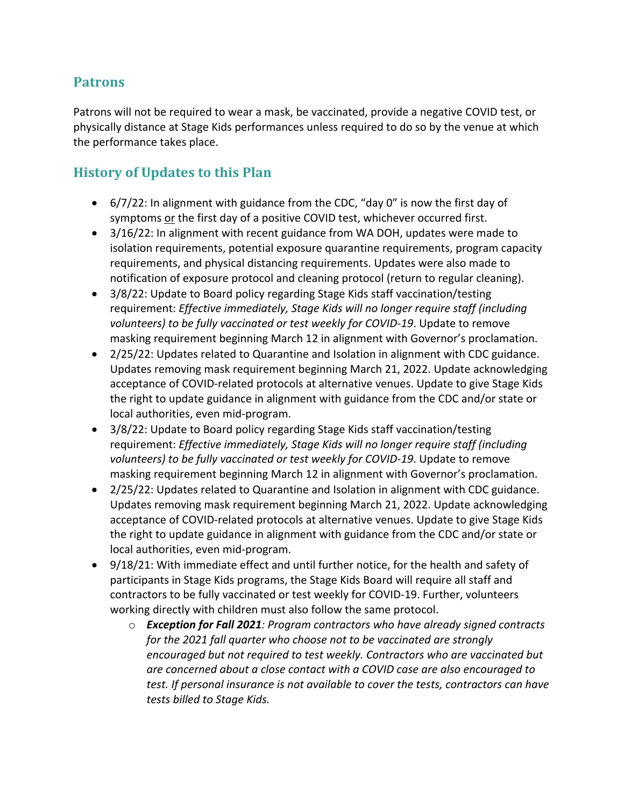### **Patrons**

Patrons will not be required to wear a mask, be vaccinated, provide a negative COVID test, or physically distance at Stage Kids performances unless required to do so by the venue at which the performance takes place.

# **History of Updates to this Plan**

- 6/7/22: In alignment with guidance from the CDC, "day 0" is now the first day of symptoms or the first day of a positive COVID test, whichever occurred first.
- 3/16/22: In alignment with recent guidance from WA DOH, updates were made to isolation requirements, potential exposure quarantine requirements, program capacity requirements, and physical distancing requirements. Updates were also made to notification of exposure protocol and cleaning protocol (return to regular cleaning).
- 3/8/22: Update to Board policy regarding Stage Kids staff vaccination/testing requirement: *Effective immediately, Stage Kids will no longer require staff (including volunteers) to be fully vaccinated or test weekly for COVID-19*. Update to remove masking requirement beginning March 12 in alignment with Governor's proclamation.
- 2/25/22: Updates related to Quarantine and Isolation in alignment with CDC guidance. Updates removing mask requirement beginning March 21, 2022. Update acknowledging acceptance of COVID-related protocols at alternative venues. Update to give Stage Kids the right to update guidance in alignment with guidance from the CDC and/or state or local authorities, even mid-program.
- 3/8/22: Update to Board policy regarding Stage Kids staff vaccination/testing requirement: *Effective immediately, Stage Kids will no longer require staff (including volunteers) to be fully vaccinated or test weekly for COVID-19*. Update to remove masking requirement beginning March 12 in alignment with Governor's proclamation.
- 2/25/22: Updates related to Quarantine and Isolation in alignment with CDC guidance. Updates removing mask requirement beginning March 21, 2022. Update acknowledging acceptance of COVID-related protocols at alternative venues. Update to give Stage Kids the right to update guidance in alignment with guidance from the CDC and/or state or local authorities, even mid-program.
- 9/18/21: With immediate effect and until further notice, for the health and safety of participants in Stage Kids programs, the Stage Kids Board will require all staff and contractors to be fully vaccinated or test weekly for COVID-19. Further, volunteers working directly with children must also follow the same protocol.
	- o *Exception for Fall 2021: Program contractors who have already signed contracts for the 2021 fall quarter who choose not to be vaccinated are strongly encouraged but not required to test weekly. Contractors who are vaccinated but are concerned about a close contact with a COVID case are also encouraged to test. If personal insurance is not available to cover the tests, contractors can have tests billed to Stage Kids.*